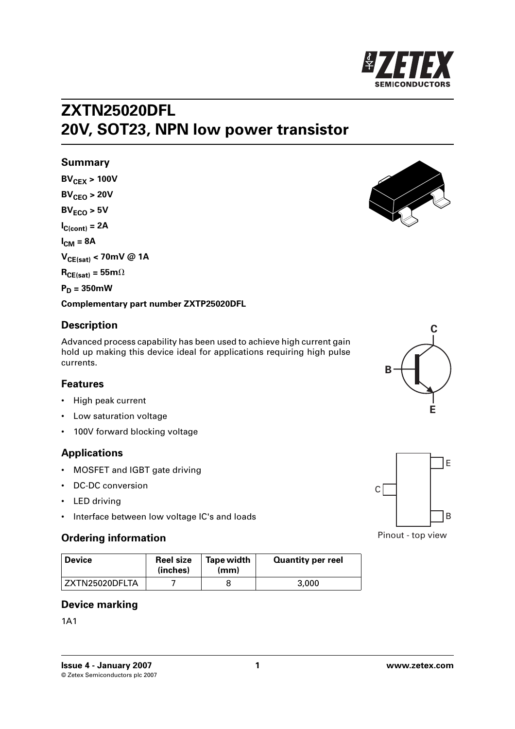

## **ZXTN25020DFL 20V, SOT23, NPN low power transistor**

#### **Summary**

 $BV_{CFX} > 100V$  $BV_{CFO} > 20V$  $BV<sub>FCO</sub> > 5V$  $I_{C(cont)} = 2A$  $I_{CM} = 8A$ **VCE(sat) < 70mV @ 1A**  $R_{CE(sat)} = 55m\Omega$  $P_D = 350$ mW



#### **Complementary part number ZXTP25020DFL**

#### **Description**

Advanced process capability has been used to achieve high current gain hold up making this device ideal for applications requiring high pulse currents.

#### **Features**

- High peak current
- Low saturation voltage
- 100V forward blocking voltage

## **Applications**

- MOSFET and IGBT gate driving
- DC-DC conversion
- LED driving
- Interface between low voltage IC's and loads

## **Ordering information**

| <b>Device</b>  | <b>Reel size</b><br>(inches) | Tape width<br>(mm) | <b>Quantity per reel</b> |
|----------------|------------------------------|--------------------|--------------------------|
| ZXTN25020DFLTA |                              |                    | 3,000                    |

#### **Device marking**

1A1

**[Issue 4 - January 2007 1 www.zetex.com](http://www.zetex.com)** © Zetex Semiconductors plc 2007





Pinout - top view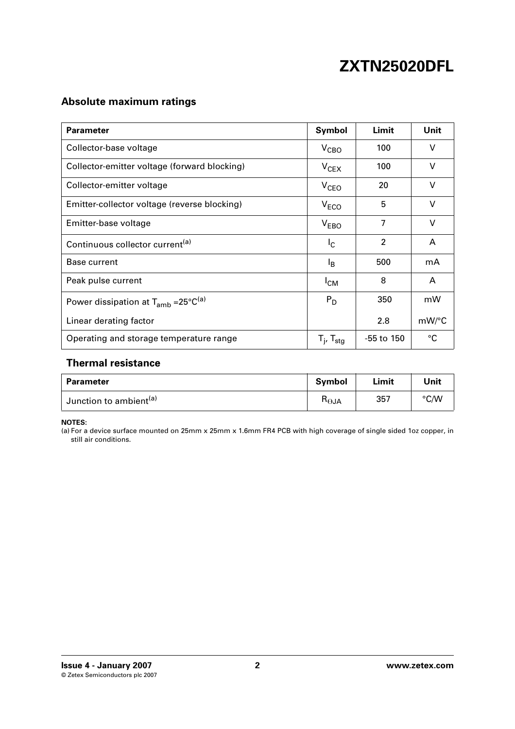## **Absolute maximum ratings**

| <b>Parameter</b>                                   | Symbol                      | Limit          | Unit   |
|----------------------------------------------------|-----------------------------|----------------|--------|
| Collector-base voltage                             | $V_{\text{CBO}}$            | 100            | $\vee$ |
| Collector-emitter voltage (forward blocking)       | $V_{CEX}$                   | 100            | $\vee$ |
| Collector-emitter voltage                          | V <sub>CEO</sub>            | 20             | $\vee$ |
| Emitter-collector voltage (reverse blocking)       | V <sub>ECO</sub>            | 5              | $\vee$ |
| Emitter-base voltage                               | V <sub>EBO</sub>            | 7              | $\vee$ |
| Continuous collector current <sup>(a)</sup>        | I <sub>C</sub>              | $\overline{2}$ | A      |
| <b>Base current</b>                                | ΙB                          | 500            | mA     |
| Peak pulse current                                 | $I_{CM}$                    | 8              | A      |
| Power dissipation at $T_{amb} = 25^{\circ}C^{(a)}$ | $P_D$                       | 350            | mW     |
| Linear derating factor                             |                             | 2.8            | mW/°C  |
| Operating and storage temperature range            | $T_{i}$ , $T_{\text{stag}}$ | $-55$ to 150   | °C     |

## **Thermal resistance**

| <b>Parameter</b>                   | <b>Symbol</b> | Limit | Unit |
|------------------------------------|---------------|-------|------|
| Junction to ambient <sup>(a)</sup> | n⊖JA          | 357   | ℃/W  |

**NOTES:**

<span id="page-1-0"></span>(a) For a device surface mounted on 25mm x 25mm x 1.6mm FR4 PCB with high coverage of single sided 1oz copper, in still air conditions.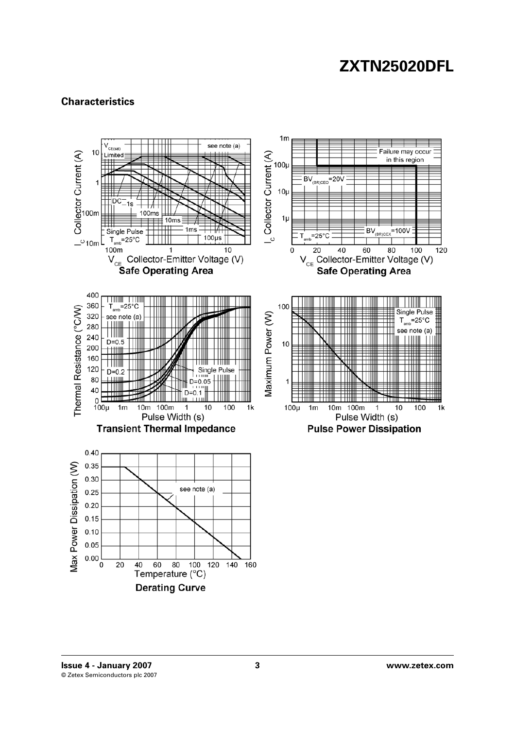## **Characteristics**

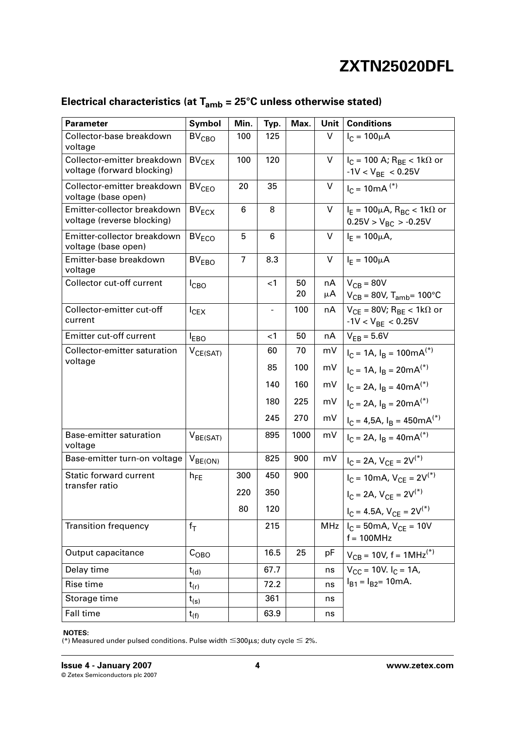| <b>Parameter</b>                                          | Symbol                  | Min.           | Typ.  | Max.     | Unit       | <b>Conditions</b>                                                                    |
|-----------------------------------------------------------|-------------------------|----------------|-------|----------|------------|--------------------------------------------------------------------------------------|
| Collector-base breakdown<br>voltage                       | <b>BV<sub>CBO</sub></b> | 100            | 125   |          | V          | $I_C = 100 \mu A$                                                                    |
| Collector-emitter breakdown<br>voltage (forward blocking) | BV <sub>CEX</sub>       | 100            | 120   |          | V          | $I_C = 100$ A; $R_{BE} < 1k\Omega$ or<br>$-1V < V_{BF} < 0.25V$                      |
| Collector-emitter breakdown<br>voltage (base open)        | BV <sub>CEO</sub>       | 20             | 35    |          | V          | $I_C = 10mA$ <sup>(*)</sup>                                                          |
| Emitter-collector breakdown<br>voltage (reverse blocking) | $BV_{ECX}$              | 6              | 8     |          | V          | $I_F = 100 \mu A$ , $R_{BC} < 1 k \Omega$ or<br>$0.25V > V_{BC} > -0.25V$            |
| Emitter-collector breakdown<br>voltage (base open)        | $BV_{ECO}$              | 5              | 6     |          | V          | $I_E = 100 \mu A$ ,                                                                  |
| Emitter-base breakdown<br>voltage                         | BV <sub>EBO</sub>       | $\overline{7}$ | 8.3   |          | V          | $I_F = 100 \mu A$                                                                    |
| Collector cut-off current                                 | I <sub>CBO</sub>        |                | $<$ 1 | 50<br>20 | nA<br>μA   | $V_{CB} = 80V$<br>$V_{CB}$ = 80V, T <sub>amb</sub> = 100°C                           |
| Collector-emitter cut-off<br>current                      | $I_{CEX}$               |                | -     | 100      | nA         | $V_{CF}$ = 80V; R <sub>BE</sub> < 1k $\Omega$ or<br>$-1$ V < V <sub>BE</sub> < 0.25V |
| <b>Emitter cut-off current</b>                            | <sup>I</sup> EBO        |                | ا>    | 50       | nA         | $V_{FR} = 5.6V$                                                                      |
| Collector-emitter saturation                              | $V_{CE(SAT)}$           |                | 60    | 70       | mV         | $I_C = 1A$ , $I_B = 100mA^{(*)}$                                                     |
| voltage                                                   |                         |                | 85    | 100      | mV         | $I_C = 1A$ , $I_B = 20mA^{(*)}$                                                      |
|                                                           |                         |                | 140   | 160      | mV         | $I_C = 2A$ , $I_B = 40mA^{(*)}$                                                      |
|                                                           |                         |                | 180   | 225      | mV         | $I_C = 2A$ , $I_B = 20mA^{(*)}$                                                      |
|                                                           |                         |                | 245   | 270      | mV         | $I_C = 4,5A$ , $I_B = 450mA^{(*)}$                                                   |
| Base-emitter saturation<br>voltage                        | $V_{BE(SAT)}$           |                | 895   | 1000     | mV         | $I_C = 2A$ , $I_R = 40mA^{(*)}$                                                      |
| Base-emitter turn-on voltage                              | $V_{BE(ON)}$            |                | 825   | 900      | mV         | $I_C = 2A$ , $V_{CF} = 2V^{(*)}$                                                     |
| <b>Static forward current</b>                             | $h_{FE}$                | 300            | 450   | 900      |            | $I_C = 10mA, V_{CE} = 2V^{(*)}$                                                      |
| transfer ratio                                            |                         | 220            | 350   |          |            | $I_C = 2A$ , $V_{CF} = 2V^{(*)}$                                                     |
|                                                           |                         | 80             | 120   |          |            | $I_C = 4.5A, V_{CE} = 2V^{(*)}$                                                      |
| <b>Transition frequency</b>                               | $f_T$                   |                | 215   |          | <b>MHz</b> | $I_C = 50 \text{mA}$ , $V_{CF} = 10 V$<br>$f = 100 MHz$                              |
| Output capacitance                                        | $C_{\text{OBO}}$        |                | 16.5  | 25       | pF         | $V_{CB}$ = 10V, f = 1MHz <sup>(*)</sup>                                              |
| Delay time                                                | $t_{(d)}$               |                | 67.7  |          | ns         | $V_{CC}$ = 10V. $I_C$ = 1A,                                                          |
| Rise time                                                 | $t_{(r)}$               |                | 72.2  |          | ns         | $I_{B1} = I_{B2} = 10 \text{mA}.$                                                    |
| Storage time                                              | $t_{(s)}$               |                | 361   |          | ns         |                                                                                      |
| Fall time                                                 | $t_{(f)}$               |                | 63.9  |          | ns         |                                                                                      |

## **Electrical characteristics (at Tamb = 25°C unless otherwise stated)**

#### **NOTES:**

(\*) Measured under pulsed conditions. Pulse width  $\leq$  300 µs; duty cycle  $\leq$  2%.

**[Issue 4 - January 2007 4 www.zetex.com](http://www.zetex.com)** © Zetex Semiconductors plc 2007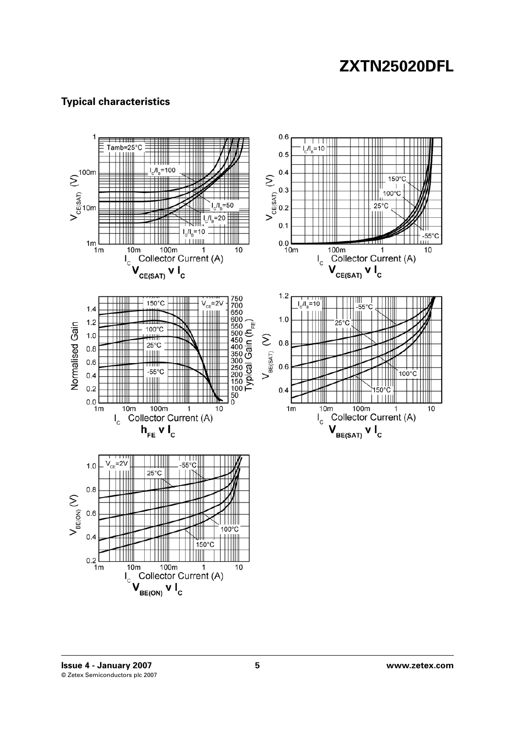## **Typical characteristics**



**[Issue 4 - January 2007 5 www.zetex.com](http://www.zetex.com)** © Zetex Semiconductors plc 2007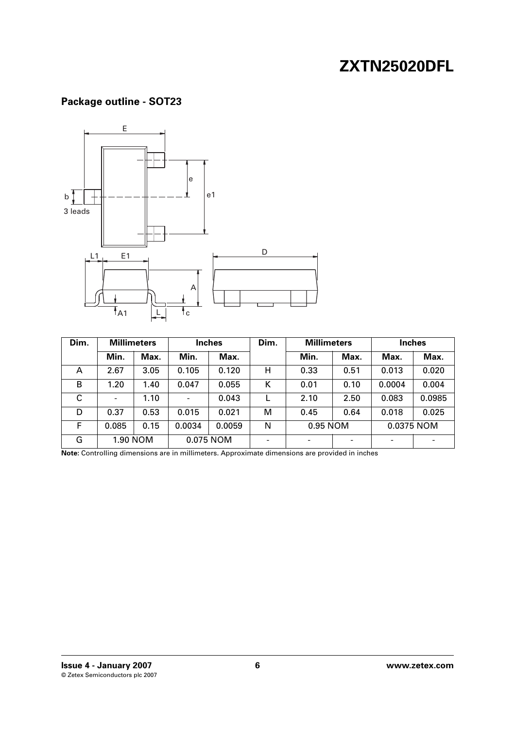## **Package outline - SOT23**



| Dim. | <b>Millimeters</b>       |      |                              | <b>Inches</b> | Dim.                     | <b>Millimeters</b>     |      | Inches |        |
|------|--------------------------|------|------------------------------|---------------|--------------------------|------------------------|------|--------|--------|
|      | Min.                     | Max. | Min.                         | Max.          |                          | Min.                   | Max. | Max.   | Max.   |
| A    | 2.67                     | 3.05 | 0.105                        | 0.120         | н                        | 0.33                   | 0.51 | 0.013  | 0.020  |
| B    | 1.20                     | 1.40 | 0.047                        | 0.055         | К                        | 0.01                   | 0.10 | 0.0004 | 0.004  |
| C    | $\overline{\phantom{a}}$ | 1.10 | $\qquad \qquad \blacksquare$ | 0.043         |                          | 2.10                   | 2.50 | 0.083  | 0.0985 |
| D    | 0.37                     | 0.53 | 0.015                        | 0.021         | M                        | 0.45                   | 0.64 | 0.018  | 0.025  |
| F    | 0.085                    | 0.15 | 0.0034                       | 0.0059        | N                        | 0.95 NOM<br>0.0375 NOM |      |        |        |
| G    | 1.90 NOM                 |      |                              | 0.075 NOM     | $\overline{\phantom{0}}$ |                        |      |        |        |

**Note:** Controlling dimensions are in millimeters. Approximate dimensions are provided in inches